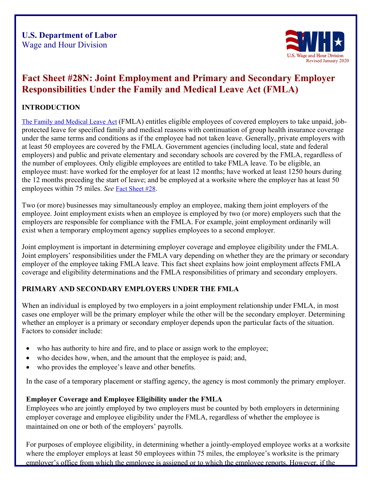

# **Fact Sheet #28N: Joint Employment and Primary and Secondary Employer Responsibilities Under the Family and Medical Leave Act (FMLA)**

# **INTRODUCTION**

[The Family and Medical Leave Act](http://www.dol.gov/whd/fma) (FMLA) entitles eligible employees of covered employers to take unpaid, jobprotected leave for specified family and medical reasons with continuation of group health insurance coverage under the same terms and conditions as if the employee had not taken leave. Generally, private employers with at least 50 employees are covered by the FMLA. Government agencies (including local, state and federal employers) and public and private elementary and secondary schools are covered by the FMLA, regardless of the number of employees. Only eligible employees are entitled to take FMLA leave. To be eligible, an employee must: have worked for the employer for at least 12 months; have worked at least 1250 hours during the 12 months preceding the start of leave; and be employed at a worksite where the employer has at least 50 employees within 75 miles. *See* [Fact Sheet #28.](http://www.dol.gov/whd/regs/compliance/whdfs28.pdf)

Two (or more) businesses may simultaneously employ an employee, making them joint employers of the employee. Joint employment exists when an employee is employed by two (or more) employers such that the employers are responsible for compliance with the FMLA. For example, joint employment ordinarily will exist when a temporary employment agency supplies employees to a second employer.

Joint employment is important in determining employer coverage and employee eligibility under the FMLA. Joint employers' responsibilities under the FMLA vary depending on whether they are the primary or secondary employer of the employee taking FMLA leave. This fact sheet explains how joint employment affects FMLA coverage and eligibility determinations and the FMLA responsibilities of primary and secondary employers.

# **PRIMARY AND SECONDARY EMPLOYERS UNDER THE FMLA**

When an individual is employed by two employers in a joint employment relationship under FMLA, in most cases one employer will be the primary employer while the other will be the secondary employer. Determining whether an employer is a primary or secondary employer depends upon the particular facts of the situation. Factors to consider include:

- who has authority to hire and fire, and to place or assign work to the employee;
- who decides how, when, and the amount that the employee is paid; and,
- who provides the employee's leave and other benefits.

In the case of a temporary placement or staffing agency, the agency is most commonly the primary employer.

# **Employer Coverage and Employee Eligibility under the FMLA**

Employees who are jointly employed by two employers must be counted by both employers in determining employer coverage and employee eligibility under the FMLA, regardless of whether the employee is maintained on one or both of the employers' payrolls.

For purposes of employee eligibility, in determining whether a jointly-employed employee works at a worksite where the employer employs at least 50 employees within 75 miles, the employee's worksite is the primary employer's office from which the employee is assigned or to which the employee reports. However, if the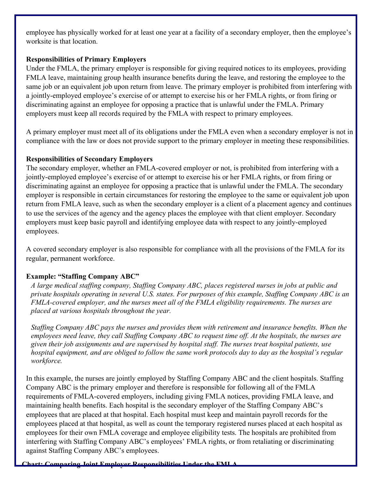employee has physically worked for at least one year at a facility of a secondary employer, then the employee's worksite is that location.

#### **Responsibilities of Primary Employers**

Under the FMLA, the primary employer is responsible for giving required notices to its employees, providing FMLA leave, maintaining group health insurance benefits during the leave, and restoring the employee to the same job or an equivalent job upon return from leave. The primary employer is prohibited from interfering with a jointly-employed employee's exercise of or attempt to exercise his or her FMLA rights, or from firing or discriminating against an employee for opposing a practice that is unlawful under the FMLA. Primary employers must keep all records required by the FMLA with respect to primary employees.

A primary employer must meet all of its obligations under the FMLA even when a secondary employer is not in compliance with the law or does not provide support to the primary employer in meeting these responsibilities.

### **Responsibilities of Secondary Employers**

The secondary employer, whether an FMLA-covered employer or not, is prohibited from interfering with a jointly-employed employee's exercise of or attempt to exercise his or her FMLA rights, or from firing or discriminating against an employee for opposing a practice that is unlawful under the FMLA. The secondary employer is responsible in certain circumstances for restoring the employee to the same or equivalent job upon return from FMLA leave, such as when the secondary employer is a client of a placement agency and continues to use the services of the agency and the agency places the employee with that client employer. Secondary employers must keep basic payroll and identifying employee data with respect to any jointly-employed employees.

A covered secondary employer is also responsible for compliance with all the provisions of the FMLA for its regular, permanent workforce.

# **Example: "Staffing Company ABC"**

*A large medical staffing company, Staffing Company ABC, places registered nurses in jobs at public and private hospitals operating in several U.S. states. For purposes of this example, Staffing Company ABC is an FMLA-covered employer, and the nurses meet all of the FMLA eligibility requirements. The nurses are placed at various hospitals throughout the year.*

*Staffing Company ABC pays the nurses and provides them with retirement and insurance benefits. When the employees need leave, they call Staffing Company ABC to request time off. At the hospitals, the nurses are given their job assignments and are supervised by hospital staff. The nurses treat hospital patients, use hospital equipment, and are obliged to follow the same work protocols day to day as the hospital's regular workforce.*

In this example, the nurses are jointly employed by Staffing Company ABC and the client hospitals. Staffing Company ABC is the primary employer and therefore is responsible for following all of the FMLA requirements of FMLA-covered employers, including giving FMLA notices, providing FMLA leave, and maintaining health benefits. Each hospital is the secondary employer of the Staffing Company ABC's employees that are placed at that hospital. Each hospital must keep and maintain payroll records for the employees placed at that hospital, as well as count the temporary registered nurses placed at each hospital as employees for their own FMLA coverage and employee eligibility tests. The hospitals are prohibited from interfering with Staffing Company ABC's employees' FMLA rights, or from retaliating or discriminating against Staffing Company ABC's employees.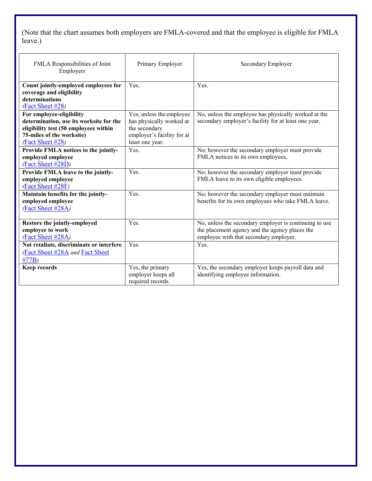(Note that the chart assumes both employers are FMLA-covered and that the employee is eligible for FMLA leave.)

| FMLA Responsibilities of Joint<br>Employers                                                                                                                   | Primary Employer                                                                                                       | Secondary Employer                                                                                                                                 |
|---------------------------------------------------------------------------------------------------------------------------------------------------------------|------------------------------------------------------------------------------------------------------------------------|----------------------------------------------------------------------------------------------------------------------------------------------------|
| Count jointly-employed employees for<br>coverage and eligibility<br>determinations<br>(Fact Sheet #28)                                                        | Yes.                                                                                                                   | Yes.                                                                                                                                               |
| For employee-eligibility<br>determination, use its worksite for the<br>eligibility test (50 employees within<br>75-miles of the worksite)<br>(Fact Sheet #28) | Yes, unless the employee<br>has physically worked at<br>the secondary<br>employer's facility for at<br>least one year. | No, unless the employee has physically worked at the<br>secondary employer's facility for at least one year.                                       |
| Provide FMLA notices to the jointly-<br>employed employee<br>(Fact Sheet #28D)                                                                                | Yes.                                                                                                                   | No; however the secondary employer must provide<br>FMLA notices to its own employees.                                                              |
| Provide FMLA leave to the jointly-<br>employed employee<br>(Fact Sheet #28F)                                                                                  | Yes.                                                                                                                   | No; however the secondary employer must provide<br>FMLA leave to its own eligible employees.                                                       |
| Maintain benefits for the jointly-<br>employed employee<br>(Fact Sheet #28A)                                                                                  | Yes.                                                                                                                   | No; however the secondary employer must maintain<br>benefits for its own employees who take FMLA leave.                                            |
| Restore the jointly-employed<br>employee to work<br>(Fact Sheet #28A)                                                                                         | Yes.                                                                                                                   | No, unless the secondary employer is continuing to use<br>the placement agency and the agency places the<br>employee with that secondary employer. |
| Not retaliate, discriminate or interfere<br><b>Fact Sheet #28A and Fact Sheet</b><br>#77B)                                                                    | Yes.                                                                                                                   | Yes.                                                                                                                                               |
| <b>Keep records</b>                                                                                                                                           | Yes, the primary<br>employer keeps all<br>required records.                                                            | Yes, the secondary employer keeps payroll data and<br>identifying employee information.                                                            |